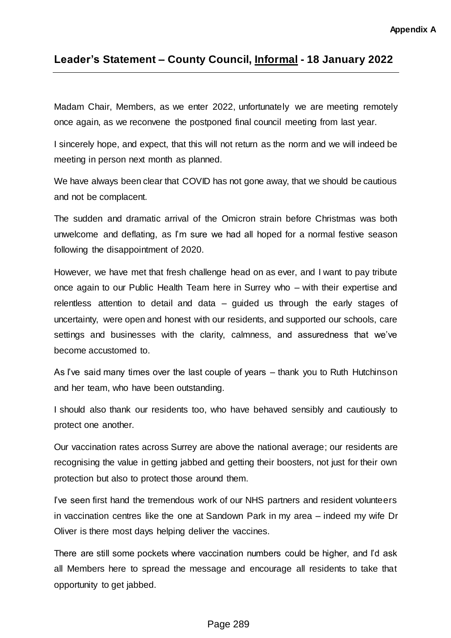## **Leader's Statement – County Council, Informal - 18 January 2022**

Madam Chair, Members, as we enter 2022, unfortunately we are meeting remotely once again, as we reconvene the postponed final council meeting from last year.

I sincerely hope, and expect, that this will not return as the norm and we will indeed be meeting in person next month as planned.

We have always been clear that COVID has not gone away, that we should be cautious and not be complacent.

The sudden and dramatic arrival of the Omicron strain before Christmas was both unwelcome and deflating, as I'm sure we had all hoped for a normal festive season following the disappointment of 2020.

However, we have met that fresh challenge head on as ever, and I want to pay tribute once again to our Public Health Team here in Surrey who – with their expertise and relentless attention to detail and data – guided us through the early stages of uncertainty, were open and honest with our residents, and supported our schools, care settings and businesses with the clarity, calmness, and assuredness that we've become accustomed to.

As I've said many times over the last couple of years – thank you to Ruth Hutchinson and her team, who have been outstanding.

I should also thank our residents too, who have behaved sensibly and cautiously to protect one another.

Our vaccination rates across Surrey are above the national average; our residents are recognising the value in getting jabbed and getting their boosters, not just for their own protection but also to protect those around them.

I've seen first hand the tremendous work of our NHS partners and resident volunteers in vaccination centres like the one at Sandown Park in my area – indeed my wife Dr Oliver is there most days helping deliver the vaccines.

There are still some pockets where vaccination numbers could be higher, and I'd ask all Members here to spread the message and encourage all residents to take that opportunity to get jabbed.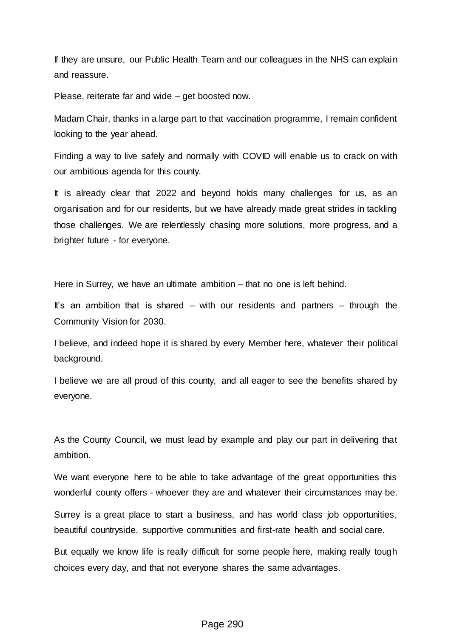If they are unsure, our Public Health Team and our colleagues in the NHS can explain and reassure.

Please, reiterate far and wide – get boosted now.

Madam Chair, thanks in a large part to that vaccination programme, I remain confident looking to the year ahead.

Finding a way to live safely and normally with COVID will enable us to crack on with our ambitious agenda for this county.

It is already clear that 2022 and beyond holds many challenges for us, as an organisation and for our residents, but we have already made great strides in tackling those challenges. We are relentlessly chasing more solutions, more progress, and a brighter future - for everyone.

Here in Surrey, we have an ultimate ambition – that no one is left behind.

It's an ambition that is shared – with our residents and partners – through the Community Vision for 2030.

I believe, and indeed hope it is shared by every Member here, whatever their political background.

I believe we are all proud of this county, and all eager to see the benefits shared by everyone.

As the County Council, we must lead by example and play our part in delivering that ambition.

We want everyone here to be able to take advantage of the great opportunities this wonderful county offers - whoever they are and whatever their circumstances may be.

Surrey is a great place to start a business, and has world class job opportunities, beautiful countryside, supportive communities and first-rate health and social care.

But equally we know life is really difficult for some people here, making really tough choices every day, and that not everyone shares the same advantages.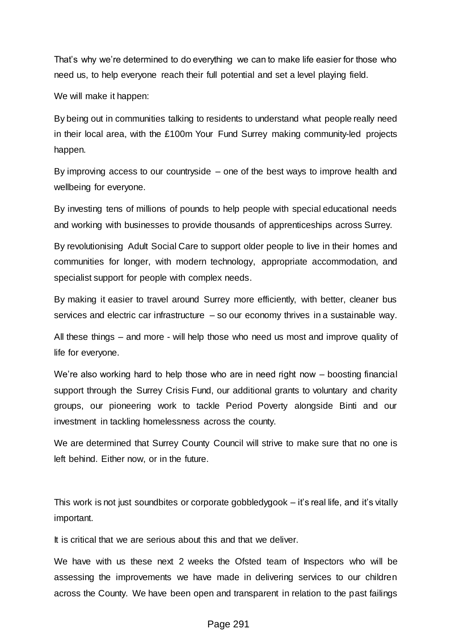That's why we're determined to do everything we can to make life easier for those who need us, to help everyone reach their full potential and set a level playing field.

We will make it happen:

By being out in communities talking to residents to understand what people really need in their local area, with the £100m Your Fund Surrey making community-led projects happen.

By improving access to our countryside – one of the best ways to improve health and wellbeing for everyone.

By investing tens of millions of pounds to help people with special educational needs and working with businesses to provide thousands of apprenticeships across Surrey.

By revolutionising Adult Social Care to support older people to live in their homes and communities for longer, with modern technology, appropriate accommodation, and specialist support for people with complex needs.

By making it easier to travel around Surrey more efficiently, with better, cleaner bus services and electric car infrastructure – so our economy thrives in a sustainable way.

All these things – and more - will help those who need us most and improve quality of life for everyone.

We're also working hard to help those who are in need right now – boosting financial support through the Surrey Crisis Fund, our additional grants to voluntary and charity groups, our pioneering work to tackle Period Poverty alongside Binti and our investment in tackling homelessness across the county.

We are determined that Surrey County Council will strive to make sure that no one is left behind. Either now, or in the future.

This work is not just soundbites or corporate gobbledygook – it's real life, and it's vitally important.

It is critical that we are serious about this and that we deliver.

We have with us these next 2 weeks the Ofsted team of Inspectors who will be assessing the improvements we have made in delivering services to our children across the County. We have been open and transparent in relation to the past failings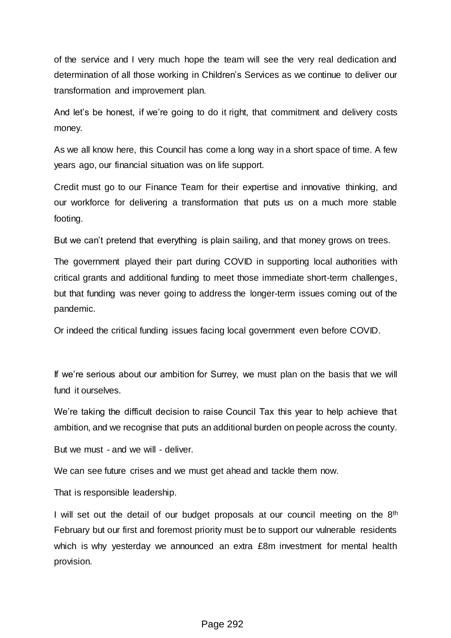of the service and I very much hope the team will see the very real dedication and determination of all those working in Children's Services as we continue to deliver our transformation and improvement plan.

And let's be honest, if we're going to do it right, that commitment and delivery costs money.

As we all know here, this Council has come a long way in a short space of time. A few years ago, our financial situation was on life support.

Credit must go to our Finance Team for their expertise and innovative thinking, and our workforce for delivering a transformation that puts us on a much more stable footing.

But we can't pretend that everything is plain sailing, and that money grows on trees.

The government played their part during COVID in supporting local authorities with critical grants and additional funding to meet those immediate short-term challenges, but that funding was never going to address the longer-term issues coming out of the pandemic.

Or indeed the critical funding issues facing local government even before COVID.

If we're serious about our ambition for Surrey, we must plan on the basis that we will fund it ourselves.

We're taking the difficult decision to raise Council Tax this year to help achieve that ambition, and we recognise that puts an additional burden on people across the county.

But we must - and we will - deliver.

We can see future crises and we must get ahead and tackle them now.

That is responsible leadership.

I will set out the detail of our budget proposals at our council meeting on the  $8<sup>th</sup>$ February but our first and foremost priority must be to support our vulnerable residents which is why yesterday we announced an extra £8m investment for mental health provision.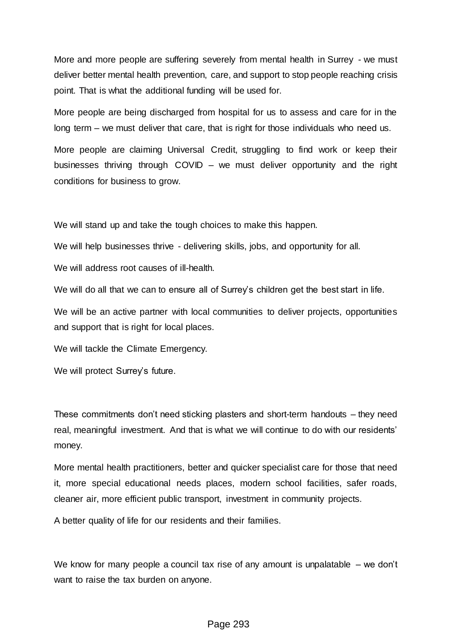More and more people are suffering severely from mental health in Surrey - we must deliver better mental health prevention, care, and support to stop people reaching crisis point. That is what the additional funding will be used for.

More people are being discharged from hospital for us to assess and care for in the long term – we must deliver that care, that is right for those individuals who need us.

More people are claiming Universal Credit, struggling to find work or keep their businesses thriving through COVID – we must deliver opportunity and the right conditions for business to grow.

We will stand up and take the tough choices to make this happen.

We will help businesses thrive - delivering skills, jobs, and opportunity for all.

We will address root causes of ill-health.

We will do all that we can to ensure all of Surrey's children get the best start in life.

We will be an active partner with local communities to deliver projects, opportunities and support that is right for local places.

We will tackle the Climate Emergency.

We will protect Surrey's future.

These commitments don't need sticking plasters and short-term handouts – they need real, meaningful investment. And that is what we will continue to do with our residents' money.

More mental health practitioners, better and quicker specialist care for those that need it, more special educational needs places, modern school facilities, safer roads, cleaner air, more efficient public transport, investment in community projects.

A better quality of life for our residents and their families.

We know for many people a council tax rise of any amount is unpalatable – we don't want to raise the tax burden on anyone.